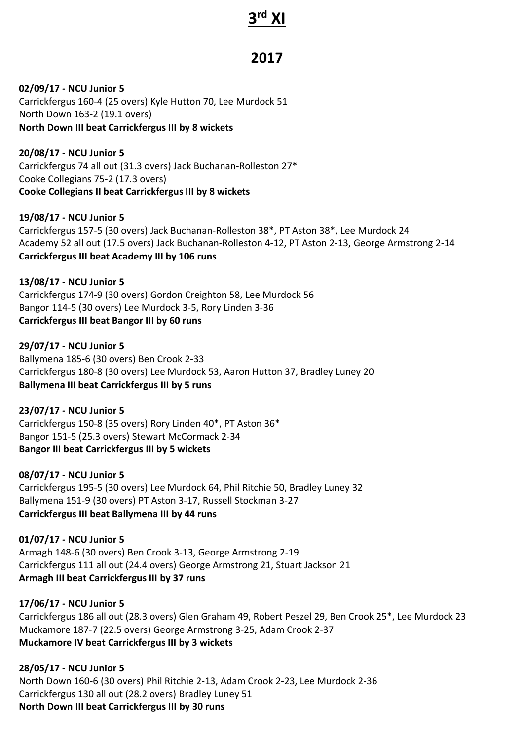# **3 rd XI**

# **2017**

**02/09/17 - NCU Junior 5** Carrickfergus 160-4 (25 overs) Kyle Hutton 70, Lee Murdock 51 North Down 163-2 (19.1 overs) **North Down III beat Carrickfergus III by 8 wickets**

**20/08/17 - NCU Junior 5** Carrickfergus 74 all out (31.3 overs) Jack Buchanan-Rolleston 27\* Cooke Collegians 75-2 (17.3 overs) **Cooke Collegians II beat Carrickfergus III by 8 wickets**

**19/08/17 - NCU Junior 5** Carrickfergus 157-5 (30 overs) Jack Buchanan-Rolleston 38\*, PT Aston 38\*, Lee Murdock 24 Academy 52 all out (17.5 overs) Jack Buchanan-Rolleston 4-12, PT Aston 2-13, George Armstrong 2-14 **Carrickfergus III beat Academy III by 106 runs**

**13/08/17 - NCU Junior 5** Carrickfergus 174-9 (30 overs) Gordon Creighton 58, Lee Murdock 56 Bangor 114-5 (30 overs) Lee Murdock 3-5, Rory Linden 3-36 **Carrickfergus III beat Bangor III by 60 runs**

**29/07/17 - NCU Junior 5** Ballymena 185-6 (30 overs) Ben Crook 2-33 Carrickfergus 180-8 (30 overs) Lee Murdock 53, Aaron Hutton 37, Bradley Luney 20 **Ballymena III beat Carrickfergus III by 5 runs**

**23/07/17 - NCU Junior 5** Carrickfergus 150-8 (35 overs) Rory Linden 40\*, PT Aston 36\* Bangor 151-5 (25.3 overs) Stewart McCormack 2-34 **Bangor III beat Carrickfergus III by 5 wickets**

**08/07/17 - NCU Junior 5** Carrickfergus 195-5 (30 overs) Lee Murdock 64, Phil Ritchie 50, Bradley Luney 32 Ballymena 151-9 (30 overs) PT Aston 3-17, Russell Stockman 3-27 **Carrickfergus III beat Ballymena III by 44 runs**

**01/07/17 - NCU Junior 5** Armagh 148-6 (30 overs) Ben Crook 3-13, George Armstrong 2-19 Carrickfergus 111 all out (24.4 overs) George Armstrong 21, Stuart Jackson 21 **Armagh III beat Carrickfergus III by 37 runs**

**17/06/17 - NCU Junior 5** Carrickfergus 186 all out (28.3 overs) Glen Graham 49, Robert Peszel 29, Ben Crook 25\*, Lee Murdock 23 Muckamore 187-7 (22.5 overs) George Armstrong 3-25, Adam Crook 2-37 **Muckamore IV beat Carrickfergus III by 3 wickets**

**28/05/17 - NCU Junior 5** North Down 160-6 (30 overs) Phil Ritchie 2-13, Adam Crook 2-23, Lee Murdock 2-36 Carrickfergus 130 all out (28.2 overs) Bradley Luney 51 **North Down III beat Carrickfergus III by 30 runs**